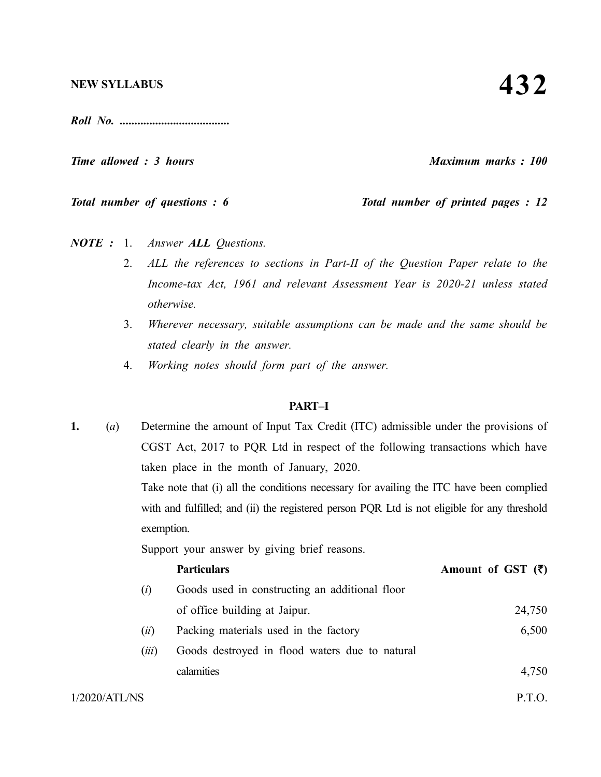*Roll No. .....................................*

*Time allowed : 3 hours Maximum marks : 100*

*Total number of questions : 6* Total number of printed pages : 12

*NOTE :* 1. *Answer ALL Questions.*

- 2. *ALL the references to sections in Part-II of the Question Paper relate to the Income-tax Act, 1961 and relevant Assessment Year is 2020-21 unless stated otherwise.*
- 3. *Wherever necessary, suitable assumptions can be made and the same should be stated clearly in the answer.*
- 4. *Working notes should form part of the answer.*

### **PART–I**

 $1/2020/ATL/NS$  P.T.O. **1.** (*a*) Determine the amount of Input Tax Credit (ITC) admissible under the provisions of CGST Act, 2017 to PQR Ltd in respect of the following transactions which have taken place in the month of January, 2020. Take note that (i) all the conditions necessary for availing the ITC have been complied with and fulfilled; and (ii) the registered person PQR. Ltd is not eligible for any threshold exemption. Support your answer by giving brief reasons. **Particulars Amount of GST (₹)** (*i*) Goods used in constructing an additional floor of office building at Jaipur. 24,750 (*ii*) Packing materials used in the factory 6,500 (*iii*) Goods destroyed in flood waters due to natural calamities 4,750

**432**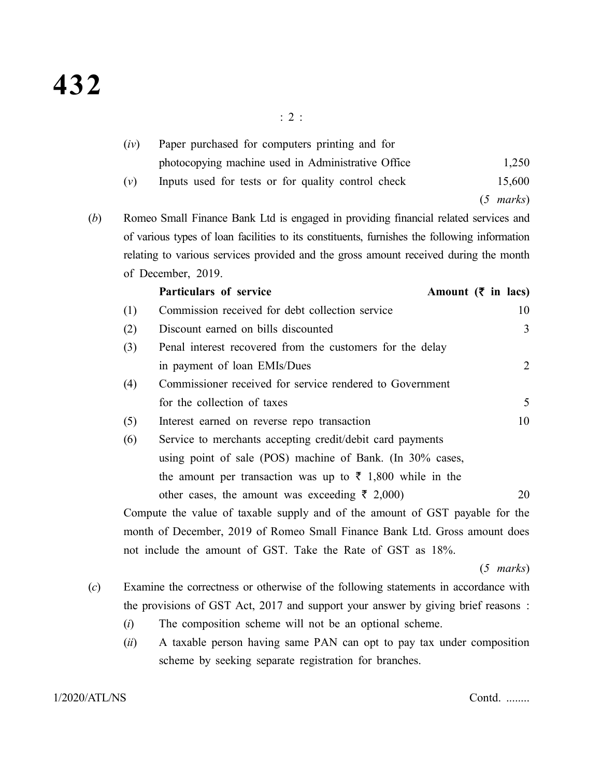|                                                                                                                                                                                            | (iv)                                                                       | Paper purchased for computers printing and for                               |                                |  |
|--------------------------------------------------------------------------------------------------------------------------------------------------------------------------------------------|----------------------------------------------------------------------------|------------------------------------------------------------------------------|--------------------------------|--|
|                                                                                                                                                                                            |                                                                            | photocopying machine used in Administrative Office                           | 1,250                          |  |
|                                                                                                                                                                                            | (v)                                                                        | Inputs used for tests or for quality control check                           | 15,600                         |  |
|                                                                                                                                                                                            |                                                                            |                                                                              | $(5 \text{ marks})$            |  |
| Romeo Small Finance Bank Ltd is engaged in providing financial related services and<br>(b)<br>of various types of loan facilities to its constituents, furnishes the following information |                                                                            |                                                                              |                                |  |
|                                                                                                                                                                                            |                                                                            |                                                                              |                                |  |
| relating to various services provided and the gross amount received during the month                                                                                                       |                                                                            |                                                                              |                                |  |
|                                                                                                                                                                                            |                                                                            | of December, 2019.                                                           |                                |  |
|                                                                                                                                                                                            |                                                                            | Particulars of service                                                       | Amount $(\bar{\zeta}$ in lacs) |  |
|                                                                                                                                                                                            | (1)                                                                        | Commission received for debt collection service                              | 10                             |  |
|                                                                                                                                                                                            | (2)                                                                        | Discount earned on bills discounted                                          | 3                              |  |
|                                                                                                                                                                                            | (3)                                                                        | Penal interest recovered from the customers for the delay                    |                                |  |
|                                                                                                                                                                                            |                                                                            | in payment of loan EMIs/Dues                                                 | $\overline{2}$                 |  |
|                                                                                                                                                                                            | (4)                                                                        | Commissioner received for service rendered to Government                     |                                |  |
|                                                                                                                                                                                            |                                                                            | for the collection of taxes                                                  | 5                              |  |
|                                                                                                                                                                                            | (5)                                                                        | Interest earned on reverse repo transaction                                  | 10                             |  |
|                                                                                                                                                                                            | (6)                                                                        | Service to merchants accepting credit/debit card payments                    |                                |  |
|                                                                                                                                                                                            |                                                                            | using point of sale (POS) machine of Bank. (In 30% cases,                    |                                |  |
|                                                                                                                                                                                            |                                                                            | the amount per transaction was up to $\bar{\tau}$ 1,800 while in the         |                                |  |
|                                                                                                                                                                                            |                                                                            | other cases, the amount was exceeding $\bar{\tau}$ 2,000)                    | 20                             |  |
|                                                                                                                                                                                            |                                                                            | Compute the value of taxable supply and of the amount of GST payable for the |                                |  |
|                                                                                                                                                                                            | month of December, 2019 of Romeo Small Finance Bank Ltd. Gross amount does |                                                                              |                                |  |
|                                                                                                                                                                                            | not include the amount of GST. Take the Rate of GST as 18%.                |                                                                              |                                |  |

(*5 marks*)

- (*c*) Examine the correctness or otherwise of the following statements in accordance with the provisions of GST Act, 2017 and support your answer by giving brief reasons :
	- (*i*) The composition scheme will not be an optional scheme.
	- (*ii*) A taxable person having same PAN can opt to pay tax under composition scheme by seeking separate registration for branches.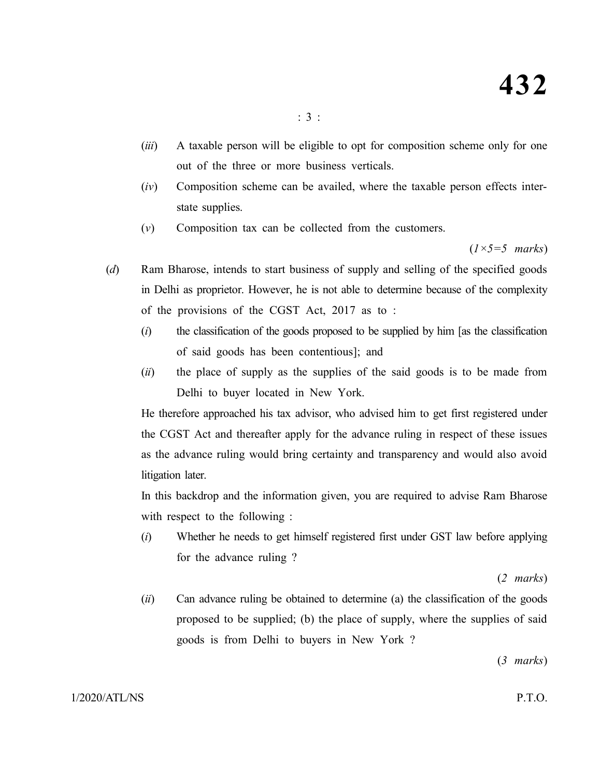- (*iii*) A taxable person will be eligible to opt for composition scheme only for one out of the three or more business verticals.
- (*iv*) Composition scheme can be availed, where the taxable person effects interstate supplies.
- (*v*) Composition tax can be collected from the customers.

(*1×5=5 marks*)

- (*d*) Ram Bharose, intends to start business of supply and selling of the specified goods in Delhi as proprietor. However, he is not able to determine because of the complexity of the provisions of the CGST Act, 2017 as to :
	- (*i*) the classification of the goods proposed to be supplied by him [as the classification of said goods has been contentious]; and
	- (*ii*) the place of supply as the supplies of the said goods is to be made from Delhi to buyer located in New York.

He therefore approached his tax advisor, who advised him to get first registered under the CGST Act and thereafter apply for the advance ruling in respect of these issues as the advance ruling would bring certainty and transparency and would also avoid litigation later.

In this backdrop and the information given, you are required to advise Ram Bharose with respect to the following :

(*i*) Whether he needs to get himself registered first under GST law before applying for the advance ruling ?

(*2 marks*)

(*ii*) Can advance ruling be obtained to determine (a) the classification of the goods proposed to be supplied; (b) the place of supply, where the supplies of said goods is from Delhi to buyers in New York ?

(*3 marks*)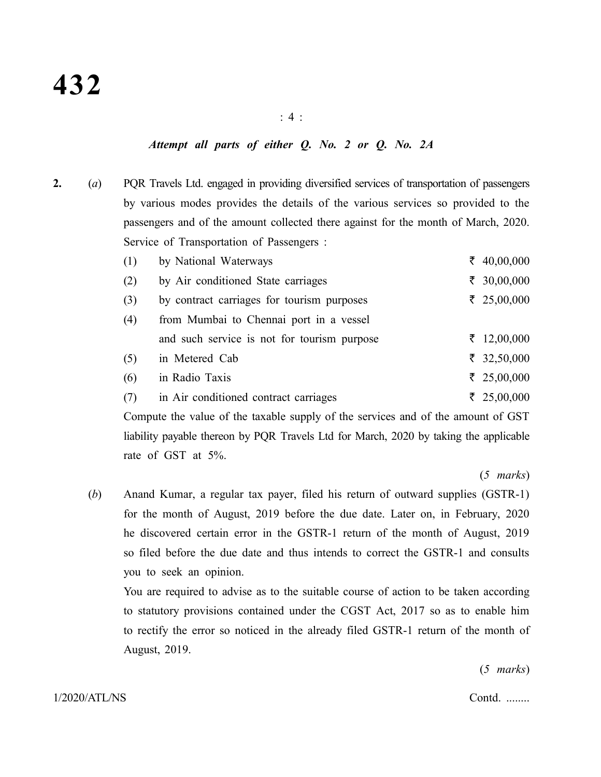# *Attempt all parts of either Q. No. 2 or Q. No. 2A*

**2.** (*a*) PQR Travels Ltd. engaged in providing diversified services of transportation of passengers by various modes provides the details of the various services so provided to the passengers and of the amount collected there against for the month of March, 2020. Service of Transportation of Passengers :

| (1) | by National Waterways                       | $\bar{\xi}$ 40,00,000 |
|-----|---------------------------------------------|-----------------------|
| (2) | by Air conditioned State carriages          | ₹ 30,00,000           |
| (3) | by contract carriages for tourism purposes  | $\bar{\xi}$ 25,00,000 |
| (4) | from Mumbai to Chennai port in a vessel     |                       |
|     | and such service is not for tourism purpose | ₹ 12,00,000           |
| (5) | in Metered Cab                              | $\bar{z}$ 32,50,000   |
| (6) | in Radio Taxis                              | $\bar{\xi}$ 25,00,000 |
| (7) | in Air conditioned contract carriages       | $\bar{\xi}$ 25,00,000 |

Compute the value of the taxable supply of the services and of the amount of GST liability payable thereon by PQR Travels Ltd for March, 2020 by taking the applicable rate of GST at 5%.

(*5 marks*)

(*b*) Anand Kumar, a regular tax payer, filed his return of outward supplies (GSTR-1) for the month of August, 2019 before the due date. Later on, in February, 2020 he discovered certain error in the GSTR-1 return of the month of August, 2019 so filed before the due date and thus intends to correct the GSTR-1 and consults you to seek an opinion.

You are required to advise as to the suitable course of action to be taken according to statutory provisions contained under the CGST Act, 2017 so as to enable him to rectify the error so noticed in the already filed GSTR-1 return of the month of August, 2019.

(*5 marks*)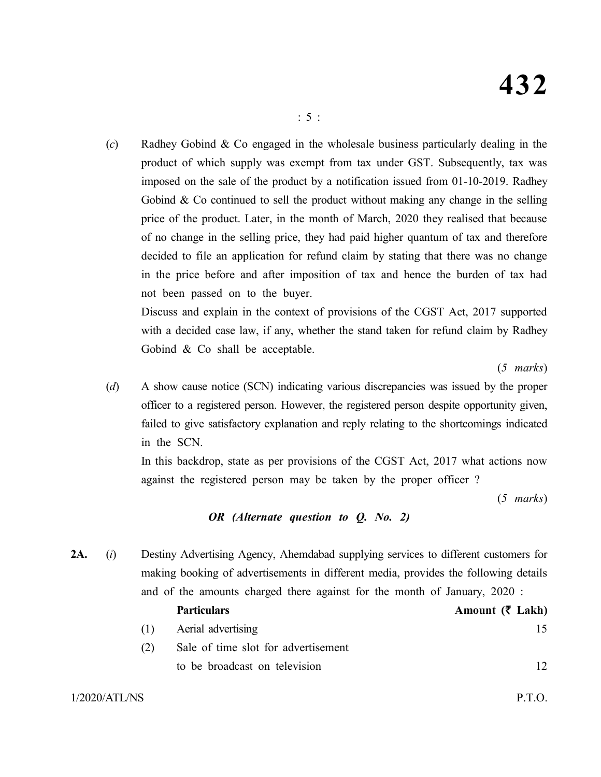(*c*) Radhey Gobind & Co engaged in the wholesale business particularly dealing in the product of which supply was exempt from tax under GST. Subsequently, tax was imposed on the sale of the product by a notification issued from 01-10-2019. Radhey Gobind  $\&$  Co continued to sell the product without making any change in the selling price of the product. Later, in the month of March, 2020 they realised that because of no change in the selling price, they had paid higher quantum of tax and therefore decided to file an application for refund claim by stating that there was no change in the price before and after imposition of tax and hence the burden of tax had not been passed on to the buyer.

Discuss and explain in the context of provisions of the CGST Act, 2017 supported with a decided case law, if any, whether the stand taken for refund claim by Radhey Gobind & Co shall be acceptable.

(*5 marks*)

(*d*) A show cause notice (SCN) indicating various discrepancies was issued by the proper officer to a registered person. However, the registered person despite opportunity given, failed to give satisfactory explanation and reply relating to the shortcomings indicated in the SCN.

In this backdrop, state as per provisions of the CGST Act, 2017 what actions now against the registered person may be taken by the proper officer ?

(*5 marks*)

# *OR (Alternate question to Q. No. 2)*

**2A.** (*i*) Destiny Advertising Agency, Ahemdabad supplying services to different customers for making booking of advertisements in different media, provides the following details and of the amounts charged there against for the month of January, 2020 :

|     | <b>Particulars</b>                  | Amount $(\bar{\zeta}$ Lakh) |
|-----|-------------------------------------|-----------------------------|
| (1) | Aerial advertising                  |                             |
| (2) | Sale of time slot for advertisement |                             |
|     | to be broadcast on television       | 12                          |
|     |                                     |                             |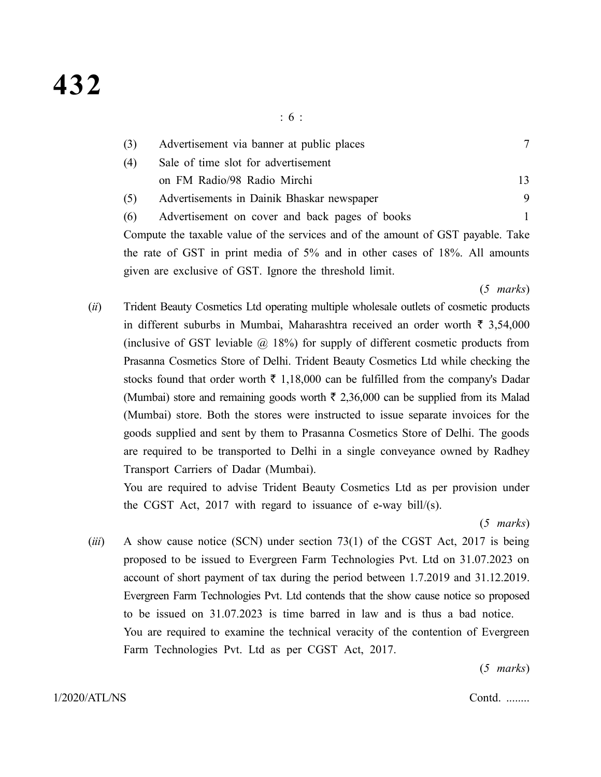| (3) | Advertisement via banner at public places      |  |   |
|-----|------------------------------------------------|--|---|
| (4) | Sale of time slot for advertisement            |  |   |
|     | on FM Radio/98 Radio Mirchi                    |  |   |
| (5) | Advertisements in Dainik Bhaskar newspaper     |  | 9 |
| (6) | Advertisement on cover and back pages of books |  |   |
|     |                                                |  |   |

Compute the taxable value of the services and of the amount of GST payable. Take the rate of GST in print media of 5% and in other cases of 18%. All amounts given are exclusive of GST. Ignore the threshold limit.

(*5 marks*)

(*ii*) Trident Beauty Cosmetics Ltd operating multiple wholesale outlets of cosmetic products in different suburbs in Mumbai, Maharashtra received an order worth  $\bar{\tau}$  3,54,000 (inclusive of GST leviable  $\omega$  18%) for supply of different cosmetic products from Prasanna Cosmetics Store of Delhi. Trident Beauty Cosmetics Ltd while checking the stocks found that order worth  $\bar{\tau}$  1,18,000 can be fulfilled from the company's Dadar (Mumbai) store and remaining goods worth  $\bar{\tau}$  2,36,000 can be supplied from its Malad (Mumbai) store. Both the stores were instructed to issue separate invoices for the goods supplied and sent by them to Prasanna Cosmetics Store of Delhi. The goods are required to be transported to Delhi in a single conveyance owned by Radhey Transport Carriers of Dadar (Mumbai).

You are required to advise Trident Beauty Cosmetics Ltd as per provision under the CGST Act, 2017 with regard to issuance of e-way bill/ $(s)$ .

(*5 marks*)

(*iii*) A show cause notice (SCN) under section 73(1) of the CGST Act, 2017 is being proposed to be issued to Evergreen Farm Technologies Pvt. Ltd on 31.07.2023 on account of short payment of tax during the period between 1.7.2019 and 31.12.2019. Evergreen Farm Technologies Pvt. Ltd contends that the show cause notice so proposed to be issued on 31.07.2023 is time barred in law and is thus a bad notice. You are required to examine the technical veracity of the contention of Evergreen Farm Technologies Pvt. Ltd as per CGST Act, 2017.

(*5 marks*)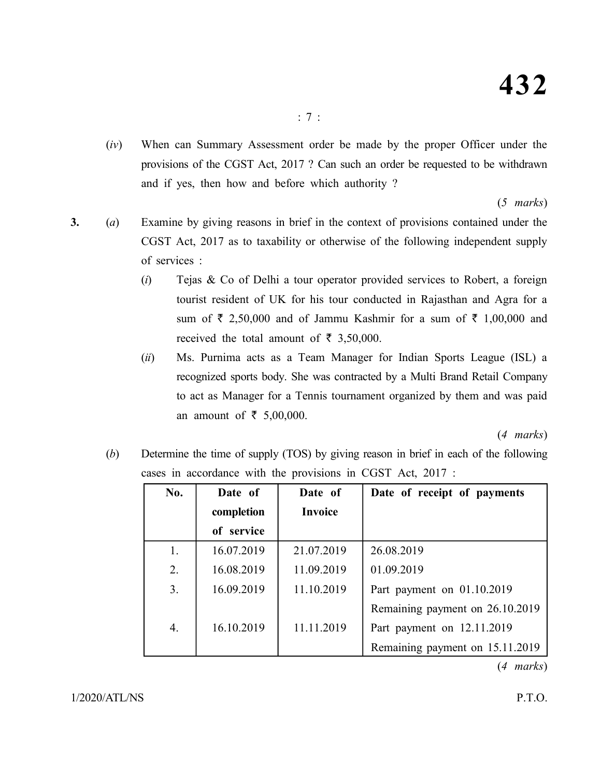(*iv*) When can Summary Assessment order be made by the proper Officer under the provisions of the CGST Act, 2017 ? Can such an order be requested to be withdrawn and if yes, then how and before which authority ?

(*5 marks*)

- **3.** (*a*) Examine by giving reasons in brief in the context of provisions contained under the CGST Act, 2017 as to taxability or otherwise of the following independent supply of services :
	- (*i*) Tejas & Co of Delhi a tour operator provided services to Robert, a foreign tourist resident of UK for his tour conducted in Rajasthan and Agra for a sum of  $\bar{\tau}$  2,50,000 and of Jammu Kashmir for a sum of  $\bar{\tau}$  1,00,000 and received the total amount of  $\bar{\tau}$  3,50,000.
	- (*ii*) Ms. Purnima acts as a Team Manager for Indian Sports League (ISL) a recognized sports body. She was contracted by a Multi Brand Retail Company to act as Manager for a Tennis tournament organized by them and was paid an amount of  $\bar{\tau}$  5,00,000.

(*4 marks*)

(*b*) Determine the time of supply (TOS) by giving reason in brief in each of the following cases in accordance with the provisions in CGST Act, 2017 :

| No. | Date of    | Date of        | Date of receipt of payments     |
|-----|------------|----------------|---------------------------------|
|     | completion | <b>Invoice</b> |                                 |
|     | of service |                |                                 |
| 1.  | 16.07.2019 | 21.07.2019     | 26.08.2019                      |
| 2.  | 16.08.2019 | 11.09.2019     | 01.09.2019                      |
| 3.  | 16.09.2019 | 11.10.2019     | Part payment on 01.10.2019      |
|     |            |                | Remaining payment on 26.10.2019 |
| 4.  | 16.10.2019 | 11.11.2019     | Part payment on 12.11.2019      |
|     |            |                | Remaining payment on 15.11.2019 |

(*4 marks*)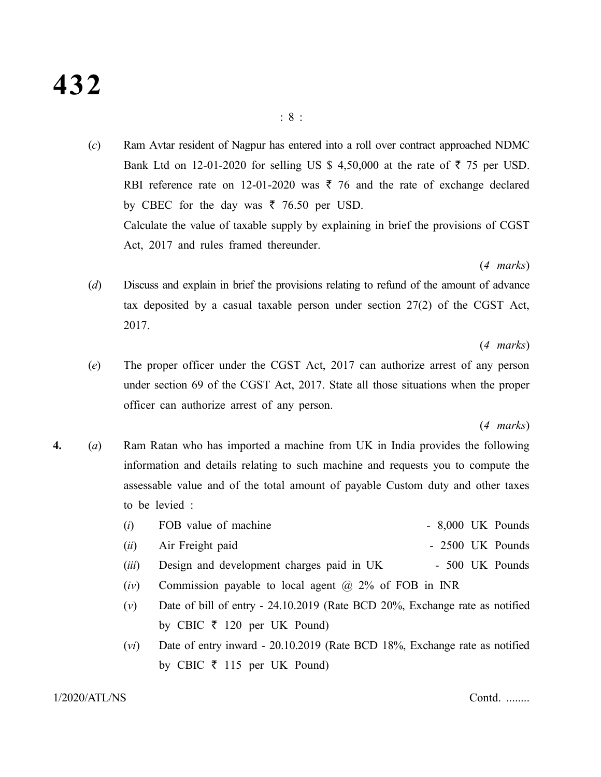# **432**

(*c*) Ram Avtar resident of Nagpur has entered into a roll over contract approached NDMC Bank Ltd on 12-01-2020 for selling US \$ 4,50,000 at the rate of  $\bar{\tau}$  75 per USD. RBI reference rate on 12-01-2020 was  $\bar{\tau}$  76 and the rate of exchange declared by CBEC for the day was  $\bar{\tau}$  76.50 per USD. Calculate the value of taxable supply by explaining in brief the provisions of CGST Act, 2017 and rules framed thereunder.

(*4 marks*)

(*d*) Discuss and explain in brief the provisions relating to refund of the amount of advance tax deposited by a casual taxable person under section 27(2) of the CGST Act, 2017.

(*4 marks*)

(*e*) The proper officer under the CGST Act, 2017 can authorize arrest of any person under section 69 of the CGST Act, 2017. State all those situations when the proper officer can authorize arrest of any person.

#### (*4 marks*)

- **4.** (*a*) Ram Ratan who has imported a machine from UK in India provides the following information and details relating to such machine and requests you to compute the assessable value and of the total amount of payable Custom duty and other taxes to be levied :
	- (*i*) FOB value of machine 8,000 UK Pounds
	- (*ii*) Air Freight paid 2500 UK Pounds
	- (*iii*) Design and development charges paid in UK 500 UK Pounds
	- (*iv*) Commission payable to local agent @ 2% of FOB in INR
	- (*v*) Date of bill of entry 24.10.2019 (Rate BCD 20%, Exchange rate as notified by CBIC  $\bar{\tau}$  120 per UK Pound)
	- (*vi*) Date of entry inward 20.10.2019 (Rate BCD 18%, Exchange rate as notified by CBIC  $\bar{\tau}$  115 per UK Pound)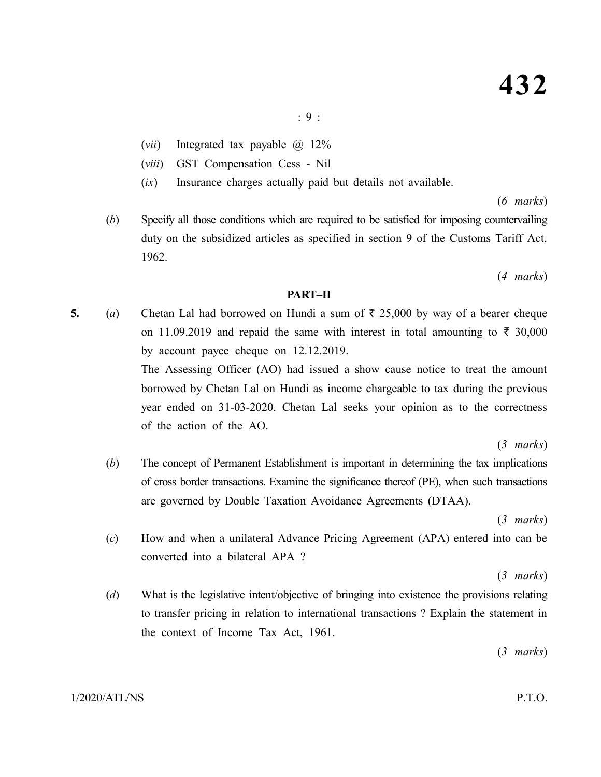(*vii*) Integrated tax payable @ 12%

- (*viii*) GST Compensation Cess Nil
- (*ix*) Insurance charges actually paid but details not available.

(*6 marks*)

(*b*) Specify all those conditions which are required to be satisfied for imposing countervailing duty on the subsidized articles as specified in section 9 of the Customs Tariff Act, 1962.

(*4 marks*)

# **PART–II**

- **5.** (*a*) Chetan Lal had borrowed on Hundi a sum of  $\bar{\tau}$  25,000 by way of a bearer cheque on 11.09.2019 and repaid the same with interest in total amounting to  $\bar{\tau}$  30,000 by account payee cheque on 12.12.2019. The Assessing Officer (AO) had issued a show cause notice to treat the amount borrowed by Chetan Lal on Hundi as income chargeable to tax during the previous year ended on 31-03-2020. Chetan Lal seeks your opinion as to the correctness of the action of the AO. (*3 marks*)
	- (*b*) The concept of Permanent Establishment is important in determining the tax implications of cross border transactions. Examine the significance thereof (PE), when such transactions are governed by Double Taxation Avoidance Agreements (DTAA).

(*3 marks*)

(*c*) How and when a unilateral Advance Pricing Agreement (APA) entered into can be converted into a bilateral APA ?

(*3 marks*)

(*d*) What is the legislative intent/objective of bringing into existence the provisions relating to transfer pricing in relation to international transactions ? Explain the statement in the context of Income Tax Act, 1961.

(*3 marks*)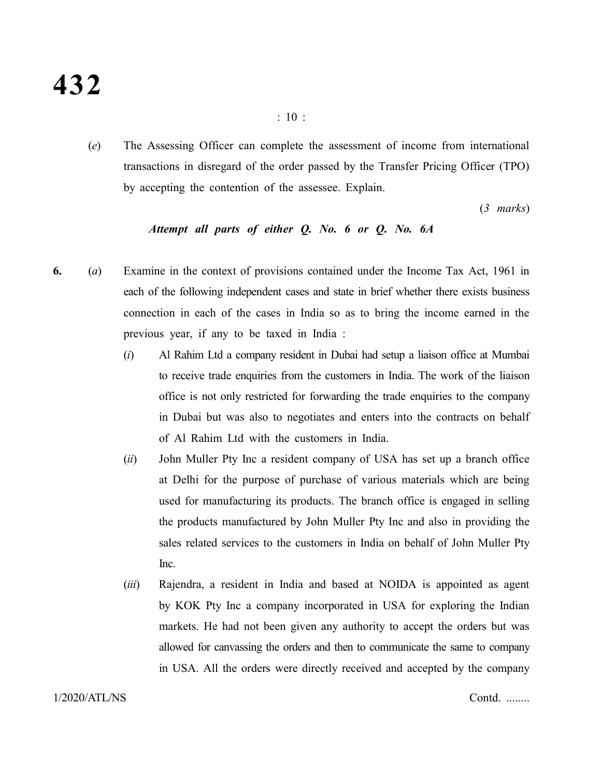(*e*) The Assessing Officer can complete the assessment of income from international transactions in disregard of the order passed by the Transfer Pricing Officer (TPO) by accepting the contention of the assessee. Explain.

(*3 marks*)

# *Attempt all parts of either Q. No. 6 or Q. No. 6A*

- **6.** (*a*) Examine in the context of provisions contained under the Income Tax Act, 1961 in each of the following independent cases and state in brief whether there exists business connection in each of the cases in India so as to bring the income earned in the previous year, if any to be taxed in India :
	- (*i*) Al Rahim Ltd a company resident in Dubai had setup a liaison office at Mumbai to receive trade enquiries from the customers in India. The work of the liaison office is not only restricted for forwarding the trade enquiries to the company in Dubai but was also to negotiates and enters into the contracts on behalf of Al Rahim Ltd with the customers in India.
	- (*ii*) John Muller Pty Inc a resident company of USA has set up a branch office at Delhi for the purpose of purchase of various materials which are being used for manufacturing its products. The branch office is engaged in selling the products manufactured by John Muller Pty Inc and also in providing the sales related services to the customers in India on behalf of John Muller Pty Inc.
	- (*iii*) Rajendra, a resident in India and based at NOIDA is appointed as agent by KOK Pty Inc a company incorporated in USA for exploring the Indian markets. He had not been given any authority to accept the orders but was allowed for canvassing the orders and then to communicate the same to company in USA. All the orders were directly received and accepted by the company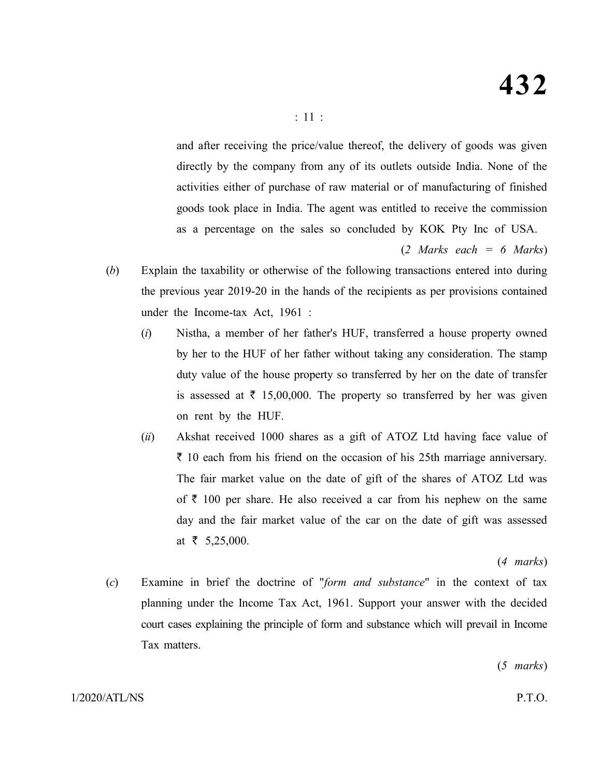and after receiving the price/value thereof, the delivery of goods was given directly by the company from any of its outlets outside India. None of the activities either of purchase of raw material or of manufacturing of finished goods took place in India. The agent was entitled to receive the commission as a percentage on the sales so concluded by KOK Pty Inc of USA.

(*2 Marks each = 6 Marks*)

- (*b*) Explain the taxability or otherwise of the following transactions entered into during the previous year 2019-20 in the hands of the recipients as per provisions contained under the Income-tax Act, 1961 :
	- (*i*) Nistha, a member of her father's HUF, transferred a house property owned by her to the HUF of her father without taking any consideration. The stamp duty value of the house property so transferred by her on the date of transfer is assessed at  $\bar{\tau}$  15,00,000. The property so transferred by her was given on rent by the HUF.
	- (*ii*) Akshat received 1000 shares as a gift of ATOZ Ltd having face value of  $\bar{\tau}$  10 each from his friend on the occasion of his 25th marriage anniversary. The fair market value on the date of gift of the shares of ATOZ Ltd was of  $\bar{\tau}$  100 per share. He also received a car from his nephew on the same day and the fair market value of the car on the date of gift was assessed at  $\bar{\tau}$  5,25,000.

(*4 marks*)

(*c*) Examine in brief the doctrine of "*form and substance*" in the context of tax planning under the Income Tax Act, 1961. Support your answer with the decided court cases explaining the principle of form and substance which will prevail in Income Tax matters.

(*5 marks*)